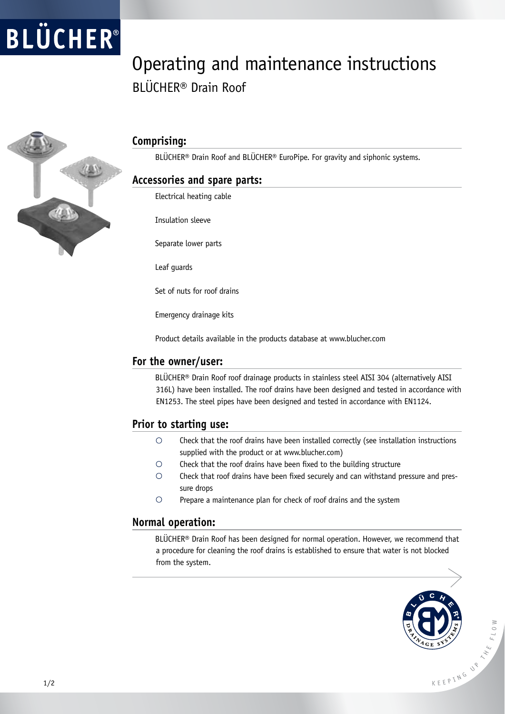# **BLÜCHER**<sup>®</sup>

### Operating and maintenance instructions BLÜCHER® Drain Roof



#### **Comprising:**

BLÜCHER® Drain Roof and BLÜCHER® EuroPipe. For gravity and siphonic systems.

#### **Accessories and spare parts:**

Electrical heating cable

Insulation sleeve

Separate lower parts

Leaf guards

Set of nuts for roof drains

Emergency drainage kits

Product details available in the products database at www.blucher.com

#### **For the owner/user:**

BLÜCHER® Drain Roof roof drainage products in stainless steel AISI 304 (alternatively AISI 316L) have been installed. The roof drains have been designed and tested in accordance with EN1253. The steel pipes have been designed and tested in accordance with EN1124.

#### **Prior to starting use:**

- $\circ$ Check that the roof drains have been installed correctly (see installation instructions supplied with the product or at www.blucher.com)
- $\circ$ Check that the roof drains have been fixed to the building structure
- $\bigcirc$ Check that roof drains have been fixed securely and can withstand pressure and pressure drops
- $\circ$ Prepare a maintenance plan for check of roof drains and the system

#### **Normal operation:**

BLÜCHER® Drain Roof has been designed for normal operation. However, we recommend that a procedure for cleaning the roof drains is established to ensure that water is not blocked from the system.